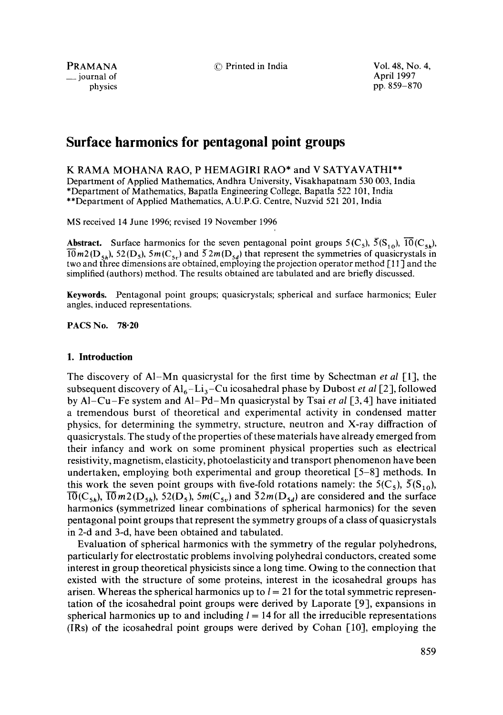$\equiv$  journal of physics

PRAMANA © Printed in India Vol. 48, No. 4, iournal of April 1997 physics pp. 859-870

# **Surface harmonics for pentagonal point groups**

K RAMA MOHANA RAO, P HEMAGIRI RAO\* and V SATYAVATHI\*\* Department of Applied Mathematics, Andhra University, Visakhapatnam 530 003, India \*Department of Mathematics, Bapatla Engineering College, Bapatla 522 101, India \*\*Department of Applied Mathematics, A,U.P.G. Centre, Nuzvid 521 201, India

MS received 14 June 1996; revised 19 November 1996

**Abstract.** Surface harmonics for the seven pentagonal point groups  $5(C_5)$ ,  $\overline{5}(S_{10})$ ,  $\overline{10}(C_{5h})$ ,  $10 m^2(D_{5h})$ , 52 (D<sub>5</sub>), 5m (C<sub>5r</sub>) and  $52 m(D_{5d})$  that represent the symmetries of quasicrystals in two and three dimensions are obtained, employing the projection operator method [\_11 ] and the simplified (authors) method. The results obtained are tabulated and are briefly discussed.

Keywords. Pentagonal point groups; quasicrystals; spherical and surface harmonics; Euler angles, induced representations.

**PACS No. 78.20** 

## **1. Introduction**

The discovery of A1-Mn quasicrystal for the first time by Schectman *et al* [1], the subsequent discovery of  $Al_6-Li_3-Cu$  icosahedral phase by Dubost *et al* [2], followed by AI-Cu-Fe system and A1-Pd-Mn quasicrystal by Tsai *et al* [3, 4] have initiated a tremendous burst of theoretical and experimental activity in condensed matter physics, for determining the symmetry, structure, neutron and X-ray diffraction of quasicrystals. The study of the properties of these materials have already emerged from their infancy and work on some prominent physical properties such as electrical resistivity, magnetism, elasticity, photoelasticity and transport phenomenon have been undertaken, employing both experimental and group theoretical [5-8] methods. In this work the seven point groups with five-fold rotations namely: the  $5(C_5)$ ,  $\overline{5}(S_{10})$ ,  $\overline{10}(C_{5h})$ ,  $\overline{10}m2(D_{5h})$ ,  $52(D_5)$ ,  $5m(C_{5v})$  and  $\overline{52m(D_{5d})}$  are considered and the surface harmonics (symmetrized linear combinations of spherical harmonics) for the seven pentagonal point groups that represent the symmetry groups of a class of quasicrystals in 2-d and 3-d, have been obtained and tabulated.

Evaluation of spherical harmonics with the symmetry of the regular polyhedrons, particularly for electrostatic problems involving polyhedral conductors, created some interest in group theoretical physicists since a long time. Owing to the connection that existed with the structure of some proteins, interest in the icosahedral groups has arisen. Whereas the spherical harmonics up to  $l = 21$  for the total symmetric representation of the icosahedral point groups were derived by Laporate [9], expansions in spherical harmonics up to and including  $l = 14$  for all the irreducible representations (IRs) of the icosahedral point groups were derived by Cohan [10], employing the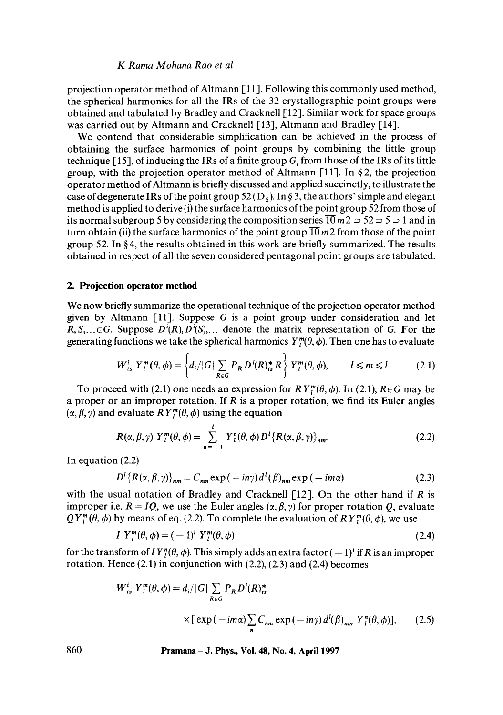projection operator method of Altmann [1 1]. Following this commonly used method, the spherical harmonics for all the IRs of the 32 crystallographic point groups were obtained and tabulated by Bradley and Cracknell [12]. Similar work for space groups was carried out by Altmann and Cracknell [13], Altmann and Bradley [14].

We contend that considerable simplification can be achieved in the process of obtaining the surface harmonics of point groups by combining the little group technique [15], of inducing the IRs of a finite group  $G<sub>i</sub>$  from those of the IRs of its little group, with the projection operator method of Altmann [11]. In §2, the projection operator method of Altmann is briefly discussed and applied succinctly, to illustrate the case of degenerate IRs of the point group  $52(D_5)$ . In § 3, the authors' simple and elegant method is applied to derive (i) the surface harmonics of the point group 52 from those of its normal subgroup 5 by considering the composition series  $\overline{10}$  m2  $\Rightarrow$  52  $\Rightarrow$  5  $\Rightarrow$  1 and in turn obtain (ii) the surface harmonics of the point group  $\overline{10}$  m2 from those of the point group 52. In § 4, the results obtained in this work are briefly summarized. The results obtained in respect of all the seven considered pentagonal point groups are tabulated.

## **2. Projection operator method**

We now briefly summarize the operational technique of the projection operator method given by Altmann [11]. Suppose G is a point group under consideration and let  $R, S, \ldots \in G$ . Suppose  $D^{i}(R), D^{i}(S), \ldots$  denote the matrix representation of G. For the generating functions we take the spherical harmonics  $Y_{\tau}^{m}(\theta, \phi)$ . Then one has to evaluate

$$
W_{ts}^i Y_l^m(\theta, \phi) = \left\{ d_i / |G| \sum_{R \in G} P_R D^i(R)_{ts}^* R \right\} Y_l^m(\theta, \phi), \quad -l \leq m \leq l. \tag{2.1}
$$

To proceed with (2.1) one needs an expression for  $RY_{\tau}^{m}(\theta, \phi)$ . In (2.1),  $R \in G$  may be a proper or an improper rotation. If  $R$  is a proper rotation, we find its Euler angles  $(\alpha, \beta, \gamma)$  and evaluate  $RY_l^m(\theta, \phi)$  using the equation

$$
R(\alpha, \beta, \gamma) Y_l^m(\theta, \phi) = \sum_{n=-l}^{l} Y_l^m(\theta, \phi) D^l \{R(\alpha, \beta, \gamma)\}_{nm}.
$$
 (2.2)

In equation (2.2)

$$
D^{1}\left\{R(\alpha,\beta,\gamma)\right\}_{nm} = C_{nm} \exp(-in\gamma) d^{1}(\beta)_{nm} \exp(-im\alpha)
$$
 (2.3)

with the usual notation of Bradley and Cracknell  $[12]$ . On the other hand if R is improper i.e.  $R = IQ$ , we use the Euler angles  $(\alpha, \beta, \gamma)$  for proper rotation Q, evaluate  $QY_l^m(\theta, \phi)$  by means of eq. (2.2). To complete the evaluation of  $RY_l^m(\theta, \phi)$ , we use

$$
I Y_l^m(\theta, \phi) = (-1)^l Y_l^m(\theta, \phi) \tag{2.4}
$$

for the transform of  $I Y^n(\theta, \phi)$ . This simply adds an extra factor  $(-1)^i$  if R is an improper rotation. Hence  $(2.1)$  in conjunction with  $(2.2)$ ,  $(2.3)$  and  $(2.4)$  becomes

$$
W_{ts}^{i} Y_{t}^{m}(\theta, \phi) = d_{i}/|G| \sum_{R \in G} P_{R} D^{i}(R)_{ts}^{*}
$$
  
× [exp(-*i*m $\alpha$ ) $\sum_{n} C_{nm} \exp(-i n \gamma) d^{i}(\beta)_{nm} Y_{t}^{n}(\theta, \phi)],$  (2.5)

**860 Pramana - J. Phys., Vol. 48, No. 4, April 1997**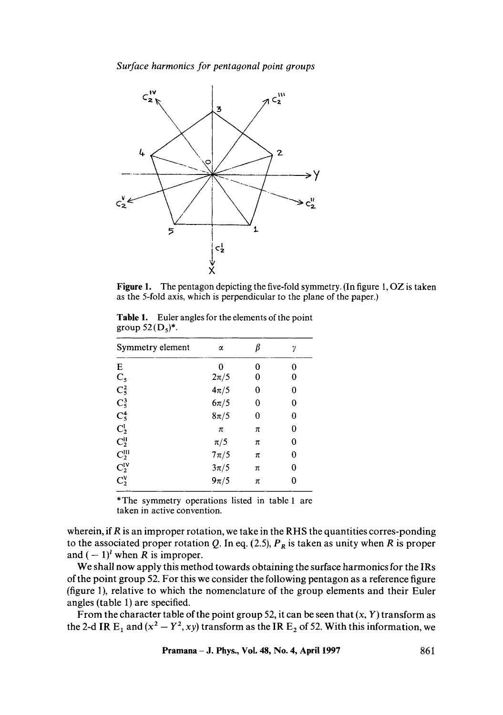*Surface harmonics for pentagonal point oroups* 



**Figure 1.**  The pentagon depicting the five-fold symmetry. (In figure 1, OZ is taken as the 5-fold axis, which is perpendicular to the plane of the paper.)

|                     | <b>Table 1.</b> Euler angles for the elements of the point |  |  |
|---------------------|------------------------------------------------------------|--|--|
| group $52(D_5)^*$ . |                                                            |  |  |

| Symmetry element                                             | α        | β        | γ        |
|--------------------------------------------------------------|----------|----------|----------|
| E                                                            | 0        | 0        | 0        |
|                                                              | $2\pi/5$ | 0        | 0        |
|                                                              | $4\pi/5$ | $\bf{0}$ | 0        |
| $C_5$<br>$C_5^2$<br>$C_5^3$<br>$C_5^4$<br>$C_2^1$<br>$C_2^1$ | $6\pi/5$ | 0        | 0        |
|                                                              | $8\pi/5$ | $\bf{0}$ | $\bf{0}$ |
|                                                              | $\pi$    | π        | 0        |
|                                                              | $\pi/5$  | π        | 0        |
| $\mathbf{C}_2^{\text{III}}$                                  | $7\pi/5$ | π        | 0        |
| $\mathbf{C_2^{IV}}$                                          | $3\pi/5$ | π        | 0        |
| $C_2^V$                                                      | $9\pi/5$ | π        | 0        |

\*The symmetry operations listed in table 1 are taken in active convention.

wherein, if R is an improper rotation, we take in the RHS the quantities corres-ponding to the associated proper rotation Q. In eq. (2.5),  $P_R$  is taken as unity when R is proper and  $(-1)^l$  when R is improper.

We shall now apply this method towards obtaining the surface harmonics for the IRs of the point group 52. For this we consider the following pentagon as a reference figure (figure 1), relative to which the nomenclature of the group elements and their Euler angles (table 1) are specified.

From the character table of the point group 52, it can be seen that  $(x, Y)$  transform as the 2-d IR  $E_1$  and  $(x^2 - Y^2, xy)$  transform as the IR  $E_2$  of 52. With this information, we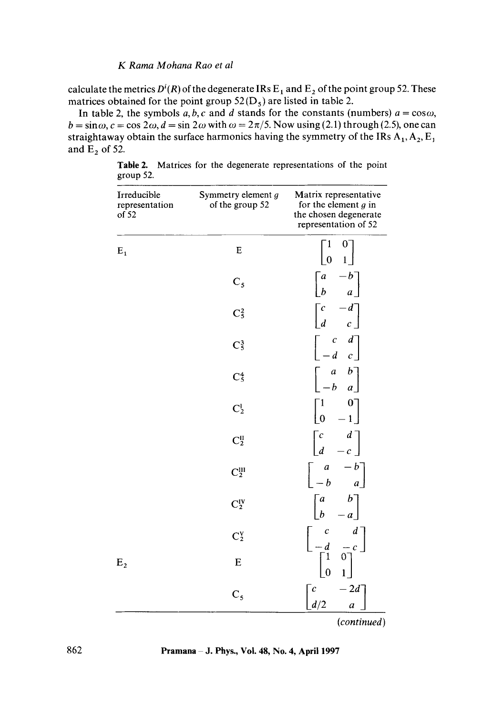calculate the metrics  $D^{i}(R)$  of the degenerate IRs  $E_1$  and  $E_2$  of the point group 52. These matrices obtained for the point group  $52(D_5)$  are listed in table 2.

In table 2, the symbols  $a, b, c$  and  $d$  stands for the constants (numbers)  $a = \cos \omega$ ,  $b = \sin \omega$ ,  $c = \cos 2\omega$ ,  $d = \sin 2\omega$  with  $\omega = 2\pi/5$ . Now using (2.1) through (2.5), one can straightaway obtain the surface harmonics having the symmetry of the IRs  $A_1$ ,  $A_2$ ,  $E_1$ and  $E_2$  of 52.

| Irreducible<br>representation<br>of 52 | Symmetry element g<br>of the group 52 | Matrix representative<br>for the element $g$ in<br>the chosen degenerate<br>representation of 52                                        |
|----------------------------------------|---------------------------------------|-----------------------------------------------------------------------------------------------------------------------------------------|
| $E_1$                                  | E                                     | 1<br>$0^-$<br>$\overline{0}$                                                                                                            |
|                                        | $C_{5}$                               | $\begin{bmatrix} a \\ b \end{bmatrix}$<br>$-b^{-}$<br>$\overline{a}$                                                                    |
|                                        | $C_5^2$                               | $-d^-$<br>$\frac{c}{d}$                                                                                                                 |
|                                        | $C_5^3$                               | $\left[\begin{array}{cc} c & d \\ -d & c \end{array}\right]$                                                                            |
|                                        | $C_5^4$                               | $\begin{bmatrix} a & b \\ b & a \end{bmatrix}$<br>$-b$                                                                                  |
|                                        | $C_2^I$                               | $\begin{bmatrix} 0 \\ 1 \end{bmatrix}$<br>$\begin{bmatrix} 1 \ 0 \end{bmatrix}$                                                         |
|                                        | $C_2^{\rm II}$                        | $\begin{bmatrix} c & d \ d & -c \end{bmatrix}$                                                                                          |
|                                        | $C_2^{\text{III}}$                    | $\begin{bmatrix} -b \\ a \end{bmatrix}$<br>$\boldsymbol{a}$<br>$-\boldsymbol{b}$                                                        |
|                                        | $\mathrm{C}_2^\mathrm{IV}$            | $\lfloor b \rceil$<br>$\overline{a}$<br>$\boldsymbol{b}$                                                                                |
|                                        | $C_2^V$                               |                                                                                                                                         |
| E <sub>2</sub>                         | ${\bf E}$                             | $\left[ \begin{array}{rrr} c & d \\ -d & -c \\ \hline \left[ \begin{array}{rrr} 1 & 0 \\ 0 & 1 \end{array} \right] \end{array} \right]$ |
|                                        | $C_5$                                 | $-2d^-$<br>$\boldsymbol{c}$<br>d/2<br>$\boldsymbol{a}$                                                                                  |

Table 2. Matrices for the degenerate representations of the point group 52.

*(continued)* 

862 **Pramana - J. Phys., Vol. 48, No. 4, April 1997**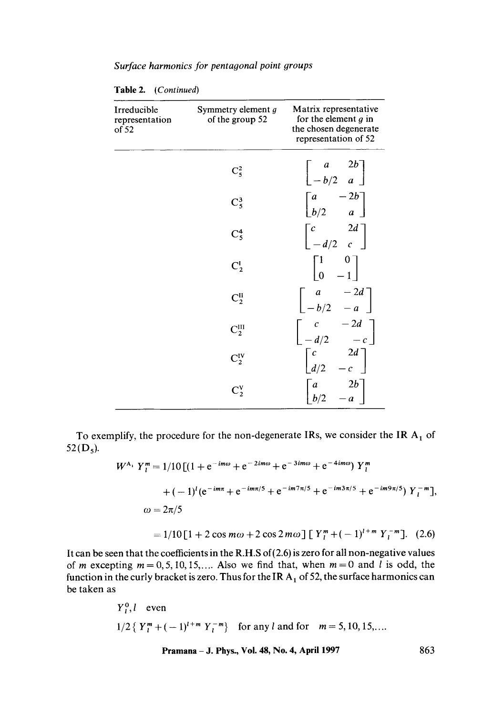| Surface harmonics for pentagonal point groups |  |  |
|-----------------------------------------------|--|--|
|-----------------------------------------------|--|--|

| Irreducible<br>representation<br>of 52 | Symmetry element g<br>of the group 52 | Matrix representative<br>for the element $g$ in<br>the chosen degenerate<br>representation of 52           |
|----------------------------------------|---------------------------------------|------------------------------------------------------------------------------------------------------------|
|                                        | $\mathrm{C}_5^2$                      | $\begin{bmatrix} a & 2b \\ -b/2 & a \end{bmatrix}$                                                         |
|                                        | $C_5^3$                               | $\begin{bmatrix} a & -2b \\ b/2 & a \end{bmatrix}$                                                         |
|                                        | $C_5^4$                               | $\begin{bmatrix} c & 2d \\ -d/2 & c \end{bmatrix}$                                                         |
|                                        | $C_2^I$                               | $\begin{bmatrix} 1 & 0 \\ 0 & -1 \end{bmatrix}$                                                            |
|                                        | $C_2^{\rm II}$                        | $\begin{bmatrix} a & -2d \\ -b/2 & -a \end{bmatrix}$                                                       |
|                                        | $C_2^{III}$                           |                                                                                                            |
|                                        | $C_2^{\text{IV}}$                     | $\begin{bmatrix} c & -2d \\ -d/2 & -c \end{bmatrix}$<br>$\begin{bmatrix} c & 2d \\ d/2 & -c \end{bmatrix}$ |
|                                        | $\mathrm{C}_2^{\mathrm{V}}$           | $\begin{bmatrix} a & 2b \\ b/2 & -a \end{bmatrix}$                                                         |

Table 2. *(Continued)* 

To exemplify, the procedure for the non-degenerate IRs, we consider the IR  $A_1$  of  $52(D_5)$ .

$$
W^{A_1} Y_l^m = 1/10 \left[ (1 + e^{-im\omega} + e^{-2im\omega} + e^{-3im\omega} + e^{-4im\omega}) Y_l^m \right.
$$
  
+  $(-1)^l (e^{-im\pi} + e^{-im\pi/5} + e^{-im7\pi/5} + e^{-im3\pi/5} + e^{-im9\pi/5}) Y_l^{-m} \right].$   
 $\omega = 2\pi/5$   
=  $1/10 [1 + 2 \cos m\omega + 2 \cos 2m\omega] [Y_l^m + (-1)^{l+m} Y_l^{-m}].$  (2.6)

It can be seen that the coefficients in the R.H.S of(2.6) is zero for all non-negative values of m excepting  $m = 0, 5, 10, 15, \dots$  Also we find that, when  $m = 0$  and l is odd, the function in the curly bracket is zero. Thus for the IR  $A_1$  of 52, the surface harmonics can be taken as

$$
Y_l^0, l
$$
 even  
1/2 {  $Y_l^m + (-1)^{l+m} Y_l^{-m}$  } for any l and for  $m = 5, 10, 15,...$ 

**Pramana - J. Phys., Voi. 48, No. 4, April 1997 863**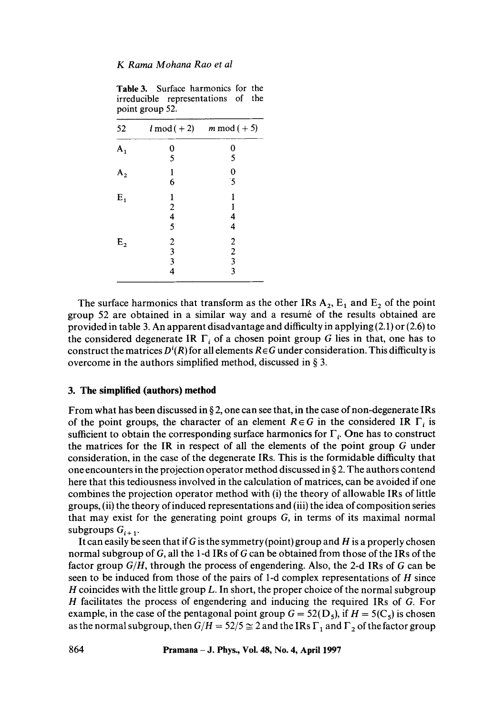Table 3. Surface harmonics for the irreducible representations of the point group 52.

|  |  |              |                                                                                               | $l \mod (+2)$ |  |  |                                                                  | $m \mod (+5)$ |  |  |
|--|--|--------------|-----------------------------------------------------------------------------------------------|---------------|--|--|------------------------------------------------------------------|---------------|--|--|
|  |  |              | $\frac{0}{5}$                                                                                 |               |  |  | $\frac{0}{5}$                                                    |               |  |  |
|  |  |              |                                                                                               |               |  |  |                                                                  |               |  |  |
|  |  | $\mathbf{1}$ |                                                                                               |               |  |  | $\frac{0}{5}$                                                    |               |  |  |
|  |  |              | 6                                                                                             |               |  |  |                                                                  |               |  |  |
|  |  | 1            |                                                                                               |               |  |  | 1                                                                |               |  |  |
|  |  |              |                                                                                               |               |  |  | 1                                                                |               |  |  |
|  |  |              |                                                                                               |               |  |  |                                                                  |               |  |  |
|  |  |              |                                                                                               |               |  |  |                                                                  |               |  |  |
|  |  |              |                                                                                               |               |  |  |                                                                  |               |  |  |
|  |  |              |                                                                                               |               |  |  |                                                                  |               |  |  |
|  |  |              |                                                                                               |               |  |  |                                                                  |               |  |  |
|  |  |              |                                                                                               |               |  |  |                                                                  |               |  |  |
|  |  |              | $\begin{array}{c} 2 \\ 4 \\ 5 \end{array}$<br>$\begin{array}{c} 2 \\ 3 \\ 3 \\ 4 \end{array}$ |               |  |  | $\frac{4}{4}$<br>$\begin{array}{c} 2 \\ 2 \\ 3 \\ 3 \end{array}$ |               |  |  |

The surface harmonics that transform as the other IRs  $A_2$ ,  $E_1$  and  $E_2$  of the point group 52 are obtained in a similar way and a resume of the results obtained are provided in table 3. An apparent disadvantage and difficulty in applying (2.1) or (2.6) to the considered degenerate IR  $\Gamma_i$  of a chosen point group G lies in that, one has to construct the matrices  $D^{i}(R)$  for all elements  $R \in G$  under consideration. This difficulty is overcome in the authors simplified method, discussed in § 3.

#### **3. The simplified (authors) method**

From what has been discussed in  $\S$  2, one can see that, in the case of non-degenerate IRs of the point groups, the character of an element  $R \in G$  in the considered IR  $\Gamma_i$  is sufficient to obtain the corresponding surface harmonics for  $\Gamma_i$ . One has to construct the matrices for the IR in respect of all the elements of the point group G under consideration, in the case of the degenerate IRs. This is the formidable difficulty that one encounters in the projection operator method discussed in § 2. The authors contend here that this tediousness involved in the calculation of matrices, can be avoided if one combines the projection operator method with (i) the theory of allowable IRs of little groups, (ii) the theory of induced representations and (iii) the idea of composition series that may exist for the generating point groups  $G$ , in terms of its maximal normal subgroups  $G_{i+1}$ .

It can easily be seen that if G is the symmetry (point) group and  $H$  is a properly chosen normal subgroup of G, all the 1-d IRs of G can be obtained from those of the IRs of the factor group *G/H,* through the process of engendering. Also, the 2-d IRs of G can be seen to be induced from those of the pairs of 1-d complex representations of  $H$  since H coincides with the little group  $L$ . In short, the proper choice of the normal subgroup H facilitates the process of engendering and inducing the required IRs of G. For example, in the case of the pentagonal point group  $G = 52(D<sub>5</sub>)$ , if  $H = 5(C<sub>5</sub>)$  is chosen as the normal subgroup, then  $G/H = 52/5 \approx 2$  and the IRs  $\Gamma_1$  and  $\Gamma_2$  of the factor group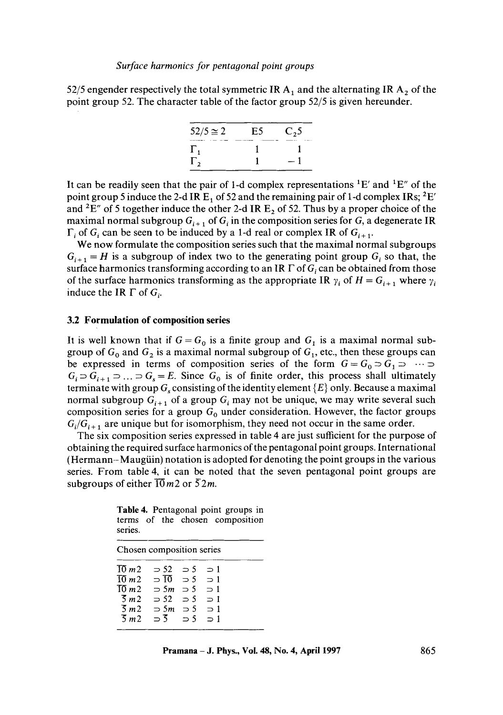52/5 engender respectively the total symmetric IR  $A_1$  and the alternating IR  $A_2$  of the point group 52. The character table of the factor group 52/5 is given hereunder.



It can be readily seen that the pair of 1-d complex representations  ${}^{1}E'$  and  ${}^{1}E''$  of the point group 5 induce the 2-d IR  $E_1$  of 52 and the remaining pair of 1-d complex IRs; <sup>2</sup>E' and <sup>2</sup>E" of 5 together induce the other 2-d IR  $E_2$  of 52. Thus by a proper choice of the maximal normal subgroup  $G_{i+1}$  of  $G_i$  in the composition series for G, a degenerate IR  $\Gamma_i$  of  $G_i$  can be seen to be induced by a 1-d real or complex IR of  $G_{i+1}$ .

We now formulate the composition series such that the maximal normal subgroups  $G_{i+1} = H$  is a subgroup of index two to the generating point group  $G_i$  so that, the surface harmonics transforming according to an IR  $\Gamma$  of  $G_i$  can be obtained from those of the surface harmonics transforming as the appropriate IR  $\gamma_i$  of  $H = G_{i+1}$  where  $\gamma_i$ induce the IR  $\Gamma$  of  $G_i$ .

#### **3.2 Formulation of composition series**

It is well known that if  $G = G_0$  is a finite group and  $G_1$  is a maximal normal subgroup of  $G_0$  and  $G_2$  is a maximal normal subgroup of  $G_1$ , etc., then these groups can be expressed in terms of composition series of the form  $G = G_0 \supset G_1 \supset \cdots \supset$  $G_i \supset G_{i+1} \supset \ldots \supset G_s = E$ . Since  $G_0$  is of finite order, this process shall ultimately terminate with group  $G_s$  consisting of the identity element  $\{E\}$  only. Because a maximal normal subgroup  $G_{i+1}$  of a group  $G_i$  may not be unique, we may write several such composition series for a group  $G_0$  under consideration. However, the factor groups  $G_i/G_{i+1}$  are unique but for isomorphism, they need not occur in the same order.

The six composition series expressed in table 4 are just sufficient for the purpose of obtaining the required surface harmonics of the pentagonal point groups. International (Hermann-Maugiiin) notation is adopted for denoting the point groups in the various series. From table 4, it can be noted that the seven pentagonal point groups are subgroups of either  $\overline{10}$  m2 or  $\overline{5}2m$ .

|         |  |  | <b>Table 4.</b> Pentagonal point groups in |  |
|---------|--|--|--------------------------------------------|--|
| series. |  |  | terms of the chosen composition            |  |

| Chosen composition series |              |             |             |  |
|---------------------------|--------------|-------------|-------------|--|
| TO m 2                    | ⇒ 52         | $\supset$ 5 | $\supset$ 1 |  |
| TO m 2                    | $\supset$ TO | $\supset$ 5 | $\supset$ 1 |  |
| TO m 2                    | $\supset$ 5m | $\supset$ 5 | $\supset$ 1 |  |
| $\frac{3}{2}$ m 2         | $\supset$ 52 | $\supset$ 5 | $\supset$ 1 |  |
| $\overline{5}$ m 2        | $\supset$ 5m | $\supset$ 5 | $\supset$ 1 |  |
| $\overline{5}$ m 2        | $\supset$ 3  | $\supset$ 5 | $\supset$ 1 |  |
|                           |              |             |             |  |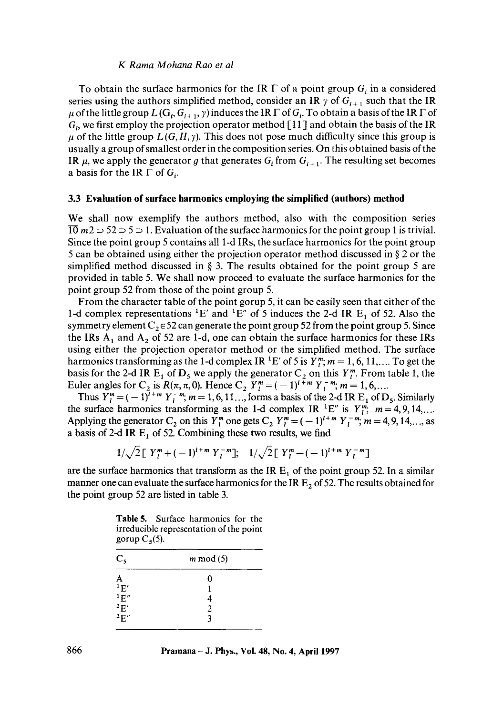To obtain the surface harmonics for the IR  $\Gamma$  of a point group  $G_i$  in a considered series using the authors simplified method, consider an IR  $\gamma$  of  $G_{i+1}$  such that the IR  $\mu$  of the little group  $L(G_i, G_{i+1}, \gamma)$  induces the IR  $\Gamma$  of  $G_i$ . To obtain a basis of the IR  $\Gamma$  of  $G<sub>i</sub>$ , we first employ the projection operator method [11] and obtain the basis of the IR  $\mu$  of the little group  $L(G, H, \gamma)$ . This does not pose much difficulty since this group is usually a group of smallest order in the composition series. On this obtained basis of the IR  $\mu$ , we apply the generator g that generates  $G_i$  from  $G_{i+1}$ . The resulting set becomes a basis for the IR  $\Gamma$  of  $G_i$ .

## **3.3 Evaluation of surface harmonics employing the simplified (authors) method**

We shall now exemplify the authors method, also with the composition series  $\overline{10}$  m2  $\Rightarrow$  52  $\Rightarrow$  5  $\Rightarrow$  1. Evaluation of the surface harmonics for the point group 1 is trivial. Since the point group 5 contains all 1-d IRs, the surface harmonics for the point group 5 can be obtained using either the projection operator method discussed in § 2 or the simplified method discussed in  $\S$  3. The results obtained for the point group 5 are provided in table 5. We shall now proceed to evaluate the surface harmonics for the point group 52 from those of the point group 5.

From the character table of the point gorup 5, it can be easily seen that either of the 1-d complex representations  ${}^{1}E'$  and  ${}^{1}E''$  of 5 induces the 2-d IR  $E_1$  of 52. Also the symmetry element  $C_2 \in 52$  can generate the point group 52 from the point group 5. Since the IRs  $A_1$  and  $A_2$  of 52 are 1-d, one can obtain the surface harmonics for these IRs using either the projection operator method or the simplified method. The surface harmonics transforming as the 1-d complex IR <sup>1</sup>E' of 5 is  $Y_{i}^{m}$ ;  $m = 1, 6, 11, \dots$  To get the basis for the 2-d IR  $E_1$  of  $D_5$  we apply the generator  $C_2$  on this  $Y_{\ell}^{m}$ . From table 1, the Euler angles for C<sub>2</sub> is  $R(\pi, \pi, 0)$ . Hence C<sub>2</sub>  $Y_l^m = (-1)^{l+m} Y_l^{-m}$ ;  $m = 1, 6, ...$ 

Thus  $Y_l^m = (-1)^{\overline{l}+m} Y_l^{-m}$ ;  $m = 1, 6, 11, \ldots$ , forms a basis of the 2-d IR  $E_1$  of  $D_5$ . Similarly the surface harmonics transforming as the 1-d complex IR <sup>1</sup>E" is  $Y_{i}^{m}$ ;  $m = 4, 9, 14, \ldots$ Applying the generator C<sub>2</sub> on this  $Y_l^m$  one gets C<sub>2</sub>  $Y_l^m = (-1)^{l+m} Y_l^{-m}$ ;  $m = 4, 9, 14, \dots$ , as a basis of 2-d IR  $E_1$  of 52. Combining these two results, we find

 $1/\sqrt{2} [Y_i^m + (-1)^{l+m} Y_i^{-m}];$   $1/\sqrt{2} [Y_i^m - (-1)^{l+m} Y_i^{-m}]$ 

are the surface harmonics that transform as the IR  $E_1$  of the point group 52. In a similar manner one can evaluate the surface harmonics for the IR  $E_2$  of 52. The results obtained for the point group 52 are listed in table 3.

**Table** 5. Surface harmonics for the irreducible representation of the point gorup  $C_5(5)$ .

| $C_5$                                                                                        | $m \mod(5)$ |  |
|----------------------------------------------------------------------------------------------|-------------|--|
| A                                                                                            |             |  |
| 1E'                                                                                          |             |  |
| $\begin{array}{c}\n1 \to \rightarrow \\ 2 \to \rightarrow \\ 2 \to \rightarrow\n\end{array}$ |             |  |
|                                                                                              |             |  |
|                                                                                              |             |  |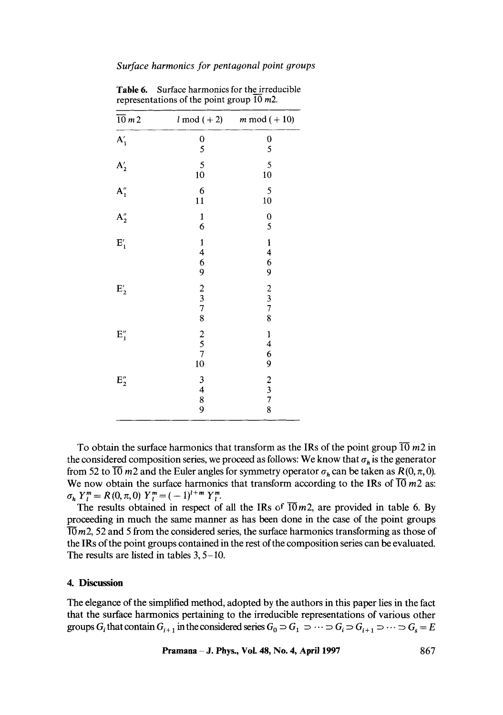#### *Surface harmonics for pentagonal point 9roups*

| $\overline{10}$ m 2 | $l \mod (+2)$                                          | $m \mod (+10)$                            |
|---------------------|--------------------------------------------------------|-------------------------------------------|
| $\mathbf{A}_1'$     | $\frac{0}{5}$                                          | $\mathbf 0$<br>5                          |
| $A'_2$              | 5<br>10                                                | 5<br>10                                   |
| $A_1''$             | 6<br>11                                                | 5<br>10                                   |
| $A_2''$             | $\mathbf{1}$<br>6                                      | $\frac{0}{5}$                             |
| $E'_{1}$            | $\frac{1}{4}$<br>$\begin{array}{c} 6 \\ 9 \end{array}$ | $\frac{1}{4}$ $\frac{4}{6}$ 9             |
| $E'_{2}$            | $\begin{array}{c} 2 \\ 3 \\ 7 \\ 8 \end{array}$        | $\begin{array}{c}\n23 \\ 78\n\end{array}$ |
| $\mathbf{E}_1''$    | $\begin{array}{c} 2 \\ 5 \\ 7 \end{array}$<br>10       |                                           |
| $\mathbf{E}_2''$    | 3<br>$\begin{array}{c} 4 \\ 8 \\ 9 \end{array}$        | 14692378                                  |

**Table** 6. Surface harmonics for the irreducible representations of the point group 10 m2.

To obtain the surface harmonics that transform as the IRs of the point group  $\overline{10}$  m2 in the considered composition series, we proceed as follows: We know that  $\sigma_h$  is the generator from 52 to  $\overline{10}$  m2 and the Euler angles for symmetry operator  $\sigma_h$  can be taken as  $R(0, \pi, 0)$ . We now obtain the surface harmonics that transform according to the IRs of  $\overline{10}$  m2 as:  $\sigma_h Y_l^m = R(0,\pi,0) Y_l^m = (-1)^{l+m} Y_l^m$ .

The results obtained in respect of all the IRs of  $\overline{10}m2$ , are provided in table 6. By proceeding in much the same manner as has been done in the case of the point groups  $\overline{10}$  m2, 52 and 5 from the considered series, the surface harmonics transforming as those of the IRs of the point groups contained in the rest of the composition series can be evaluated. The results are listed in tables 3, 5-10.

#### **4. Discussion**

The elegance of the simplified method, adopted by the authors in this paper lies in the fact that the surface harmonics pertaining to the irreducible representations of various other groups  $G_i$  that contain  $G_{i+1}$  in the considered series  $G_0 \supset G_1 \supset \cdots \supset G_i \supset G_{i+1} \supset \cdots \supset G_s = E$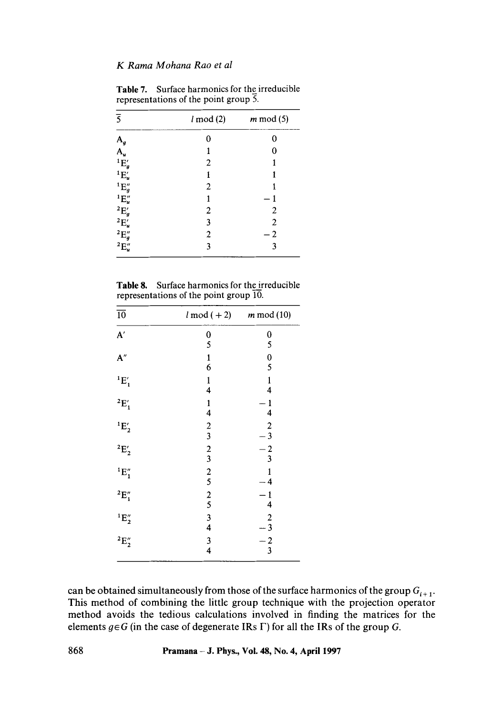| $\overline{5}$                                                                                                                                                       | $l \mod(2)$    | $m \mod(5)$    |
|----------------------------------------------------------------------------------------------------------------------------------------------------------------------|----------------|----------------|
|                                                                                                                                                                      | 0              | 0              |
| $A_g$<br>$A_u$                                                                                                                                                       | 1              | 0              |
| ${}^1\mathrm{E}'_g$                                                                                                                                                  | 2              | 1              |
| ${}^1E'_u$                                                                                                                                                           | 1              |                |
|                                                                                                                                                                      | $\overline{2}$ |                |
|                                                                                                                                                                      | 1              | 1              |
|                                                                                                                                                                      | 2              | $\overline{2}$ |
|                                                                                                                                                                      | 3              | $\overline{2}$ |
|                                                                                                                                                                      | $\overline{2}$ | $\overline{2}$ |
| ${}^{1}\mathrm{E}''_{g}$<br>${}^{1}\mathrm{E}''_{u}$<br>${}^{2}\mathrm{E}''_{g}$<br>${}^{2}\mathrm{E}''_{u}$<br>${}^{2}\mathrm{E}''_{g}$<br>${}^{2}\mathrm{E}''_{u}$ | 3              | 3              |

Table 7. Surface harmonics for the irreducible representations of the point group 5.

| <b>Table 8.</b> Surface harmonics for the irreducible |
|-------------------------------------------------------|
| representations of the point group 10.                |

| $\overline{10}$    | $l \mod (+2)$                                   | $m \mod(10)$                                |
|--------------------|-------------------------------------------------|---------------------------------------------|
| ${\bf A}'$         | 0<br>5                                          | 0<br>5                                      |
| A''                | $\frac{1}{6}$                                   | $\boldsymbol{0}$<br>5                       |
| $E'_1$             | $\mathbf{1}$<br>4                               | $\mathbf{1}$<br>4                           |
| ${}^2E'_1$         | $\frac{1}{4}$                                   | 1<br>4                                      |
| ${}^1E'_2$         | $\frac{2}{3}$                                   | $\overline{c}$<br>$-3$                      |
| ${}^2E'_2$         | $\begin{array}{c} 2 \\ 3 \\ 2 \\ 5 \end{array}$ | $\frac{-2}{3}$                              |
| $E_1''$            |                                                 | 1<br>4                                      |
| $E''_1$            | $\frac{2}{5}$                                   | 1<br>4                                      |
| ${}^1E''_2$        |                                                 | $\boldsymbol{2}$<br>$\overline{\mathbf{3}}$ |
| $^2\mathrm{E}''_2$ | $\begin{array}{c} 3 \\ 4 \\ 3 \\ 4 \end{array}$ | $\frac{-2}{3}$                              |

can be obtained simultaneously from those of the surface harmonics of the group  $G_{i+1}$ . This method of combining the little group technique with the projection operator method avoids the tedious calculations involved in finding the matrices for the elements  $g \in G$  (in the case of degenerate IRs  $\Gamma$ ) for all the IRs of the group G.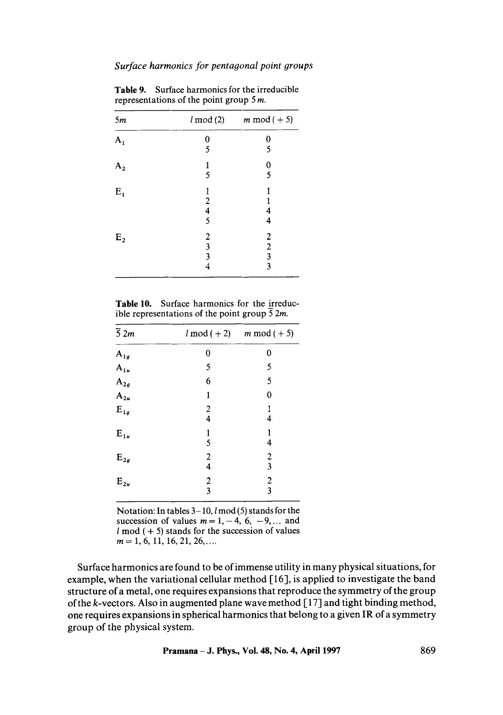| 5m             | $l \mod(2)$                                | $m \mod (+5)$                              |
|----------------|--------------------------------------------|--------------------------------------------|
| $\mathbf{A}_1$ | 0                                          | 0                                          |
|                | 5                                          | 5                                          |
| A <sub>2</sub> | 1                                          | $\bf{0}$                                   |
|                | 5                                          | 5                                          |
| $E_1$          | 1                                          |                                            |
|                | $\overline{\mathbf{c}}$                    |                                            |
|                | $\frac{4}{5}$                              | 4                                          |
|                |                                            | 4                                          |
| $E_{2}$        |                                            | $\boldsymbol{2}$                           |
|                | $\begin{array}{c} 2 \\ 3 \\ 3 \end{array}$ |                                            |
|                |                                            | $\begin{array}{c} 2 \\ 3 \\ 3 \end{array}$ |
|                | 4                                          |                                            |

Table 9. Surface harmonics for the irreducible representations of the point group 5 m.

Table 10. Surface harmonics for the irreducible representations of the point group  $\overline{5}$  2*m*.

| $\overline{5}$ 2m | $l \mod (+2)$ | $m \mod (+5)$                                      |
|-------------------|---------------|----------------------------------------------------|
| $A_{1g}$          | 0             | 0                                                  |
| $\mathbf{A}_{1u}$ | 5             | 5                                                  |
| $\mathbf{A}_{2g}$ | 6             | 5                                                  |
| $A_{2u}$          | 1             | 0                                                  |
| $\mathbf{E}_{1g}$ | $\frac{2}{4}$ | 4                                                  |
| $E_{1u}$          | $\frac{1}{5}$ | 1<br>4                                             |
| $\mathbf{E}_{2g}$ | $\frac{2}{4}$ | $\overline{\mathbf{c}}$<br>$\overline{\mathbf{3}}$ |
| $\mathbf{E_{2u}}$ | $\frac{2}{3}$ | $\frac{2}{3}$                                      |

Notation: In tables  $3-10$ ,  $l \mod(5)$  stands for the succession of values  $m = 1, -4, 6, -9, \dots$  and  $l \mod (+5)$  stands for the succession of values  $m = 1, 6, 11, 16, 21, 26, \ldots$ 

Surface harmonics are found to be of immense utility in many physical situations, for example, when the variational cellular method [16], is applied to investigate the band structure of a metal, one requires expansions that reproduce the symmetry of the group of the k-vectors. Also in augmented plane wave method [ 17] and tight binding method, one requires expansions in spherical harmonics that belong to a given IR of a symmetry group of the physical system.